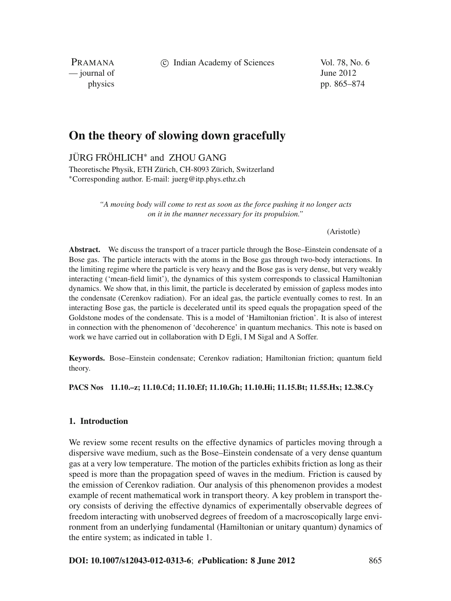c Indian Academy of Sciences Vol. 78, No. 6

PRAMANA  $\frac{1}{2}$  journal of June 2012

physics pp. 865–874

# **On the theory of slowing down gracefully**

JÜRG FRÖHLICH<sup>∗</sup> and ZHOU GANG

Theoretische Physik, ETH Zürich, CH-8093 Zürich, Switzerland <sup>∗</sup>Corresponding author. E-mail: juerg@itp.phys.ethz.ch

> *"A mo*v*ing body will come to rest as soon as the force pushing it no longer acts on it in the manner necessary for its propulsion."*

> > (Aristotle)

**Abstract.** We discuss the transport of a tracer particle through the Bose–Einstein condensate of a Bose gas. The particle interacts with the atoms in the Bose gas through two-body interactions. In the limiting regime where the particle is very heavy and the Bose gas is very dense, but very weakly interacting ('mean-field limit'), the dynamics of this system corresponds to classical Hamiltonian dynamics. We show that, in this limit, the particle is decelerated by emission of gapless modes into the condensate (Cerenkov radiation). For an ideal gas, the particle eventually comes to rest. In an interacting Bose gas, the particle is decelerated until its speed equals the propagation speed of the Goldstone modes of the condensate. This is a model of 'Hamiltonian friction'. It is also of interest in connection with the phenomenon of 'decoherence' in quantum mechanics. This note is based on work we have carried out in collaboration with D Egli, I M Sigal and A Soffer.

**Keywords.** Bose–Einstein condensate; Cerenkov radiation; Hamiltonian friction; quantum field theory.

**PACS Nos 11.10.–z; 11.10.Cd; 11.10.Ef; 11.10.Gh; 11.10.Hi; 11.15.Bt; 11.55.Hx; 12.38.Cy**

# **1. Introduction**

We review some recent results on the effective dynamics of particles moving through a dispersive wave medium, such as the Bose–Einstein condensate of a very dense quantum gas at a very low temperature. The motion of the particles exhibits friction as long as their speed is more than the propagation speed of waves in the medium. Friction is caused by the emission of Cerenkov radiation. Our analysis of this phenomenon provides a modest example of recent mathematical work in transport theory. A key problem in transport theory consists of deriving the effective dynamics of experimentally observable degrees of freedom interacting with unobserved degrees of freedom of a macroscopically large environment from an underlying fundamental (Hamiltonian or unitary quantum) dynamics of the entire system; as indicated in table 1.

# **DOI: 10.1007/s12043-012-0313-6**; *e***Publication: 8 June 2012** 865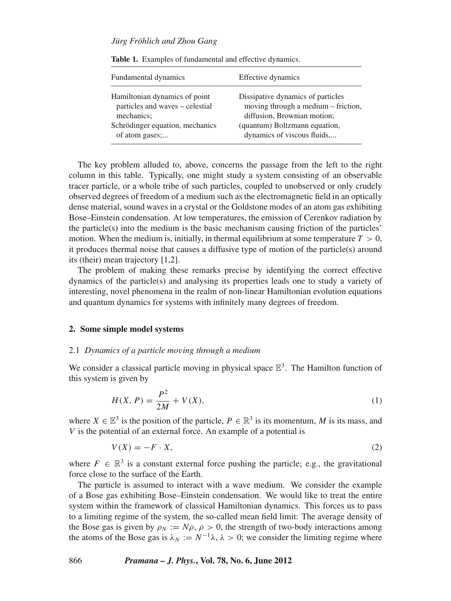| Fundamental dynamics            | Effective dynamics                  |
|---------------------------------|-------------------------------------|
| Hamiltonian dynamics of point   | Dissipative dynamics of particles   |
| particles and waves – celestial | moving through a medium – friction, |
| mechanics;                      | diffusion, Brownian motion;         |
| Schrödinger equation, mechanics | (quantum) Boltzmann equation,       |
| of atom gases;                  | dynamics of viscous fluids,         |

**Table 1.** Examples of fundamental and effective dynamics.

The key problem alluded to, above, concerns the passage from the left to the right column in this table. Typically, one might study a system consisting of an observable tracer particle, or a whole tribe of such particles, coupled to unobserved or only crudely observed degrees of freedom of a medium such as the electromagnetic field in an optically dense material, sound waves in a crystal or the Goldstone modes of an atom gas exhibiting Bose–Einstein condensation. At low temperatures, the emission of Cerenkov radiation by the particle(s) into the medium is the basic mechanism causing friction of the particles' motion. When the medium is, initially, in thermal equilibrium at some temperature  $T > 0$ , it produces thermal noise that causes a diffusive type of motion of the particle(s) around its (their) mean trajectory [1,2].

The problem of making these remarks precise by identifying the correct effective dynamics of the particle(s) and analysing its properties leads one to study a variety of interesting, novel phenomena in the realm of non-linear Hamiltonian evolution equations and quantum dynamics for systems with infinitely many degrees of freedom.

### **2. Some simple model systems**

# 2.1 *Dynamics of a particle mo*v*ing through a medium*

We consider a classical particle moving in physical space  $\mathbb{E}^3$ . The Hamilton function of this system is given by

$$
H(X, P) = \frac{P^2}{2M} + V(X),
$$
\n(1)

where  $X \in \mathbb{E}^3$  is the position of the particle,  $P \in \mathbb{R}^3$  is its momentum, *M* is its mass, and *V* is the potential of an external force. An example of a potential is

$$
V(X) = -F \cdot X,\tag{2}
$$

where  $F \in \mathbb{R}^3$  is a constant external force pushing the particle; e.g., the gravitational force close to the surface of the Earth.

The particle is assumed to interact with a wave medium. We consider the example of a Bose gas exhibiting Bose–Einstein condensation. We would like to treat the entire system within the framework of classical Hamiltonian dynamics. This forces us to pass to a limiting regime of the system, the so-called mean field limit: The average density of the Bose gas is given by  $\rho_N := N\rho$ ,  $\rho > 0$ , the strength of two-body interactions among the atoms of the Bose gas is  $\lambda_N := N^{-1}\lambda$ ,  $\lambda > 0$ ; we consider the limiting regime where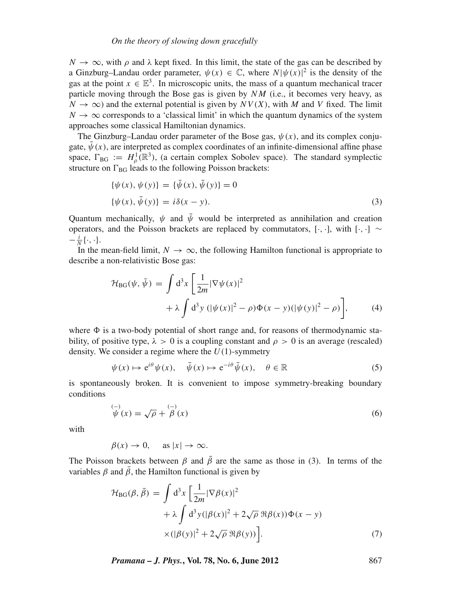$N \to \infty$ , with ρ and  $\lambda$  kept fixed. In this limit, the state of the gas can be described by a Ginzburg–Landau order parameter,  $\psi(x) \in \mathbb{C}$ , where  $N|\psi(x)|^2$  is the density of the gas at the point  $x \in \mathbb{E}^{3}$ . In microscopic units, the mass of a quantum mechanical tracer particle moving through the Bose gas is given by *N M* (i.e., it becomes very heavy, as  $N \rightarrow \infty$ ) and the external potential is given by  $N V(X)$ , with *M* and *V* fixed. The limit  $N \rightarrow \infty$  corresponds to a 'classical limit' in which the quantum dynamics of the system approaches some classical Hamiltonian dynamics.

The Ginzburg–Landau order parameter of the Bose gas,  $\psi(x)$ , and its complex conjugate,  $\bar{\psi}(x)$ , are interpreted as complex coordinates of an infinite-dimensional affine phase space,  $\Gamma_{BG} := H^1_\rho(\mathbb{R}^3)$ , (a certain complex Sobolev space). The standard symplectic structure on  $\Gamma_{BG}$  leads to the following Poisson brackets:

$$
\{\psi(x), \psi(y)\} = \{\bar{\psi}(x), \bar{\psi}(y)\} = 0
$$
  

$$
\{\psi(x), \bar{\psi}(y)\} = i\delta(x - y).
$$
 (3)

Quantum mechanically,  $\psi$  and  $\bar{\psi}$  would be interpreted as annihilation and creation operators, and the Poisson brackets are replaced by commutators, [·, ·], with [·, ·] ∼  $-\frac{i}{N}\{\cdot,\cdot\}.$ 

In the mean-field limit,  $N \to \infty$ , the following Hamilton functional is appropriate to describe a non-relativistic Bose gas:

$$
\mathcal{H}_{BG}(\psi, \bar{\psi}) = \int d^3x \left[ \frac{1}{2m} |\nabla \psi(x)|^2 + \lambda \int d^3y \left( |\psi(x)|^2 - \rho \right) \Phi(x - y) (|\psi(y)|^2 - \rho) \right],\tag{4}
$$

where  $\Phi$  is a two-body potential of short range and, for reasons of thermodynamic stability, of positive type,  $\lambda > 0$  is a coupling constant and  $\rho > 0$  is an average (rescaled) density. We consider a regime where the  $U(1)$ -symmetry

$$
\psi(x) \mapsto e^{i\theta} \psi(x), \quad \bar{\psi}(x) \mapsto e^{-i\theta} \bar{\psi}(x), \quad \theta \in \mathbb{R}
$$
 (5)

is spontaneously broken. It is convenient to impose symmetry-breaking boundary conditions

$$
\stackrel{(-)}{\psi}(x) = \sqrt{\rho} + \stackrel{(-)}{\beta}(x) \tag{6}
$$

with

$$
\beta(x) \to 0, \quad \text{as } |x| \to \infty.
$$

The Poisson brackets between  $\beta$  and  $\bar{\beta}$  are the same as those in (3). In terms of the variables  $\beta$  and  $\bar{\beta}$ , the Hamilton functional is given by

$$
\mathcal{H}_{BG}(\beta, \bar{\beta}) = \int d^3x \left[ \frac{1}{2m} |\nabla \beta(x)|^2 + \lambda \int d^3y (|\beta(x)|^2 + 2\sqrt{\rho} \Re \beta(x)) \Phi(x - y) \right. \\ \times (|\beta(y)|^2 + 2\sqrt{\rho} \Re \beta(y)) \Big]. \tag{7}
$$

*Pramana – J. Phys.***, Vol. 78, No. 6, June 2012** 867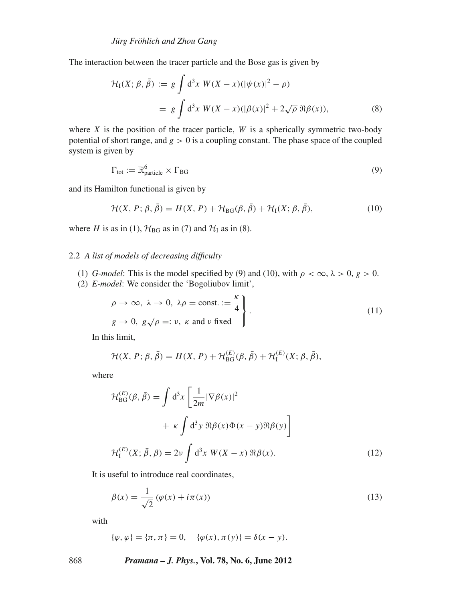The interaction between the tracer particle and the Bose gas is given by

$$
\mathcal{H}_{\mathrm{I}}(X;\,\beta,\,\bar{\beta}) := g \int d^3x \ W(X-x) (|\psi(x)|^2 - \rho)
$$

$$
= g \int d^3x \ W(X-x) (|\beta(x)|^2 + 2\sqrt{\rho} \, \Re \beta(x)), \tag{8}
$$

where  $X$  is the position of the tracer particle,  $W$  is a spherically symmetric two-body potential of short range, and  $g > 0$  is a coupling constant. The phase space of the coupled system is given by

$$
\Gamma_{\text{tot}} := \mathbb{R}_{\text{particle}}^6 \times \Gamma_{\text{BG}} \tag{9}
$$

and its Hamilton functional is given by

$$
\mathcal{H}(X, P; \beta, \bar{\beta}) = H(X, P) + \mathcal{H}_{BG}(\beta, \bar{\beta}) + \mathcal{H}_{I}(X; \beta, \bar{\beta}),
$$
\n(10)

where *H* is as in (1),  $H_{BG}$  as in (7) and  $H_I$  as in (8).

# 2.2 *A list of models of decreasing difficulty*

- (1) *G-model*: This is the model specified by (9) and (10), with  $\rho < \infty$ ,  $\lambda > 0$ ,  $g > 0$ .
- (2) *E-model*: We consider the 'Bogoliubov limit',

$$
\rho \to \infty, \ \lambda \to 0, \ \lambda \rho = \text{const.} := \frac{\kappa}{4}
$$
  
 
$$
g \to 0, \ g\sqrt{\rho} =: \nu, \ \kappa \text{ and } \nu \text{ fixed}
$$
 (11)

In this limit,

$$
\mathcal{H}(X, P; \beta, \bar{\beta}) = H(X, P) + \mathcal{H}_{BG}^{(E)}(\beta, \bar{\beta}) + \mathcal{H}_{I}^{(E)}(X; \beta, \bar{\beta}),
$$

where

$$
\mathcal{H}_{BG}^{(E)}(\beta, \bar{\beta}) = \int d^3x \left[ \frac{1}{2m} |\nabla \beta(x)|^2 + \kappa \int d^3y \, \Re \beta(x) \Phi(x - y) \Re \beta(y) \right]
$$

$$
\mathcal{H}_{I}^{(E)}(X; \bar{\beta}, \beta) = 2\nu \int d^3x \, W(X - x) \, \Re \beta(x). \tag{12}
$$

It is useful to introduce real coordinates,

$$
\beta(x) = \frac{1}{\sqrt{2}} \left( \varphi(x) + i\pi(x) \right) \tag{13}
$$

with

$$
\{\varphi, \varphi\} = \{\pi, \pi\} = 0, \quad \{\varphi(x), \pi(y)\} = \delta(x - y).
$$

868 *Pramana – J. Phys.***, Vol. 78, No. 6, June 2012**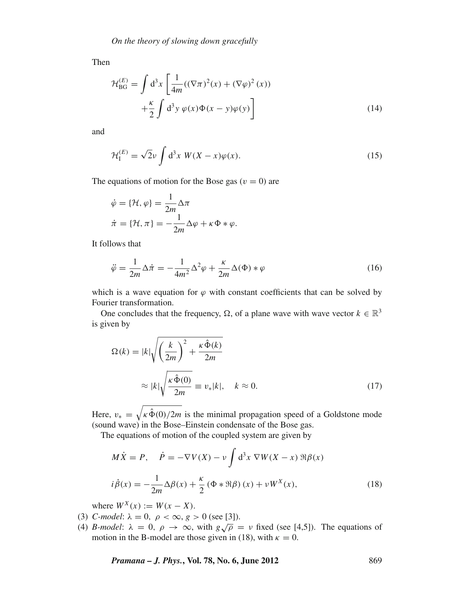Then

$$
\mathcal{H}_{BG}^{(E)} = \int d^3x \left[ \frac{1}{4m} ((\nabla \pi)^2(x) + (\nabla \varphi)^2(x)) + \frac{\kappa}{2} \int d^3y \, \varphi(x) \Phi(x - y) \varphi(y) \right]
$$
\n(14)

and

$$
\mathcal{H}_{\mathcal{I}}^{(E)} = \sqrt{2}\nu \int d^3x \ W(X - x)\varphi(x). \tag{15}
$$

The equations of motion for the Bose gas ( $v = 0$ ) are

$$
\dot{\varphi} = \{ \mathcal{H}, \varphi \} = \frac{1}{2m} \Delta \pi
$$

$$
\dot{\pi} = \{ \mathcal{H}, \pi \} = -\frac{1}{2m} \Delta \varphi + \kappa \Phi * \varphi.
$$

It follows that

$$
\ddot{\varphi} = \frac{1}{2m} \Delta \dot{\pi} = -\frac{1}{4m^2} \Delta^2 \varphi + \frac{\kappa}{2m} \Delta(\Phi) * \varphi \tag{16}
$$

which is a wave equation for  $\varphi$  with constant coefficients that can be solved by Fourier transformation.

One concludes that the frequency,  $\Omega$ , of a plane wave with wave vector  $k \in \mathbb{R}^3$ is given by

$$
\Omega(k) = |k| \sqrt{\left(\frac{k}{2m}\right)^2 + \frac{\kappa \hat{\Phi}(k)}{2m}}
$$

$$
\approx |k| \sqrt{\frac{\kappa \hat{\Phi}(0)}{2m}} \equiv v_* |k|, \quad k \approx 0. \tag{17}
$$

Here,  $v_* = \sqrt{\kappa \hat{\Phi}(0)/2m}$  is the minimal propagation speed of a Goldstone mode (sound wave) in the Bose–Einstein condensate of the Bose gas.

The equations of motion of the coupled system are given by

$$
M\dot{X} = P, \quad \dot{P} = -\nabla V(X) - \nu \int d^3x \ \nabla W(X - x) \ \Re \beta(x)
$$

$$
i\dot{\beta}(x) = -\frac{1}{2m} \Delta \beta(x) + \frac{\kappa}{2} (\Phi * \Re \beta)(x) + \nu W^X(x), \tag{18}
$$

where  $W^X(x) := W(x - X)$ .

- (3) *C-model*:  $\lambda = 0$ ,  $\rho < \infty$ ,  $g > 0$  (see [3]).
- (4) *B-model*:  $\lambda = 0$ ,  $\rho \rightarrow \infty$ , with  $g\sqrt{\rho} = \nu$  fixed (see [4,5]). The equations of motion in the B-model are those given in (18), with  $\kappa = 0$ .

*Pramana – J. Phys.***, Vol. 78, No. 6, June 2012** 869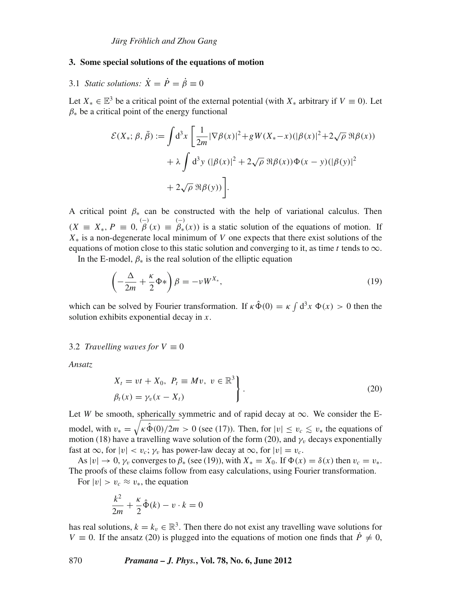#### **3. Some special solutions of the equations of motion**

# 3.1 *Static solutions:*  $\dot{X} = \dot{P} = \dot{\beta} \equiv 0$

Let  $X_* \in \mathbb{E}^3$  be a critical point of the external potential (with  $X_*$  arbitrary if  $V \equiv 0$ ). Let  $\beta_*$  be a critical point of the energy functional

$$
\mathcal{E}(X_*, \beta, \bar{\beta}) := \int d^3x \left[ \frac{1}{2m} |\nabla \beta(x)|^2 + gW(X_* - x)(|\beta(x)|^2 + 2\sqrt{\rho} \Re \beta(x)) + \lambda \int d^3y \left( |\beta(x)|^2 + 2\sqrt{\rho} \Re \beta(x) \right) \Phi(x - y)(|\beta(y)|^2 + 2\sqrt{\rho} \Re \beta(y)) \right].
$$

A critical point  $\beta_*$  can be constructed with the help of variational calculus. Then  $(X \equiv X_*, P \equiv 0, \stackrel{(-)}{\beta}(x) \equiv \stackrel{(-)}{\beta_*(x)}$  is a static solution of the equations of motion. If *X*<sup>∗</sup> is a non-degenerate local minimum of *V* one expects that there exist solutions of the equations of motion close to this static solution and converging to it, as time *t* tends to  $\infty$ .

In the E-model,  $\beta_*$  is the real solution of the elliptic equation

$$
\left(-\frac{\Delta}{2m} + \frac{\kappa}{2}\Phi*\right)\beta = -\nu W^{X*},\tag{19}
$$

which can be solved by Fourier transformation. If  $\kappa \hat{\Phi}(0) = \kappa \int d^3x \Phi(x) > 0$  then the solution exhibits exponential decay in *x*.

#### 3.2 *Travelling waves for*  $V \equiv 0$

*Ansatz*

$$
X_t = vt + X_0, P_t \equiv Mv, v \in \mathbb{R}^3
$$
  

$$
\beta_t(x) = \gamma_v(x - X_t)
$$
 (20)

Let *W* be smooth, spherically symmetric and of rapid decay at  $\infty$ . We consider the Emodel, with  $v_* = \sqrt{\kappa \hat{\Phi}(0)/2m} > 0$  (see (17)). Then, for  $|v| \le v_c \le v_*$  the equations of motion (18) have a travelling wave solution of the form (20), and  $\gamma_v$  decays exponentially fast at  $\infty$ , for  $|v| < v_c$ ;  $\gamma_v$  has power-law decay at  $\infty$ , for  $|v| = v_c$ .

As  $|v| \to 0$ ,  $\gamma_v$  converges to  $\beta_*$  (see (19)), with  $X_* = X_0$ . If  $\Phi(x) = \delta(x)$  then  $v_c = v_*$ . The proofs of these claims follow from easy calculations, using Fourier transformation. For  $|v| > v_c \approx v_*$ , the equation

$$
\frac{k^2}{2m} + \frac{\kappa}{2}\hat{\Phi}(k) - v \cdot k = 0
$$

has real solutions,  $k = k_v \in \mathbb{R}^3$ . Then there do not exist any travelling wave solutions for *V*  $\equiv$  0. If the ansatz (20) is plugged into the equations of motion one finds that  $\dot{P} \neq 0$ ,

870 *Pramana – J. Phys.***, Vol. 78, No. 6, June 2012**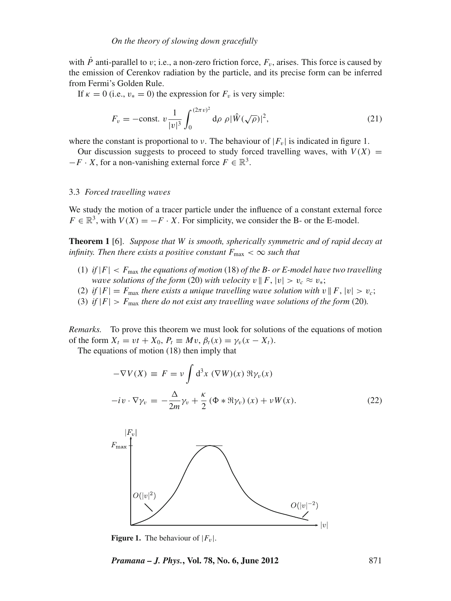with  $\dot{P}$  anti-parallel to v; i.e., a non-zero friction force,  $F_v$ , arises. This force is caused by the emission of Cerenkov radiation by the particle, and its precise form can be inferred from Fermi's Golden Rule.

If  $\kappa = 0$  (i.e.,  $v_* = 0$ ) the expression for  $F_v$  is very simple:

$$
F_v = -\text{const.} \ v \frac{1}{|v|^3} \int_0^{(2\pi v)^2} \mathrm{d}\rho \ \rho |\hat{W}(\sqrt{\rho})|^2,\tag{21}
$$

where the constant is proportional to  $\nu$ . The behaviour of  $|F_{\nu}|$  is indicated in figure 1.

Our discussion suggests to proceed to study forced travelling waves, with  $V(X) =$  $-F \cdot X$ , for a non-vanishing external force  $F \in \mathbb{R}^3$ .

#### 3.3 *Forced tra*v*elling wa*v*es*

We study the motion of a tracer particle under the influence of a constant external force  $F \in \mathbb{R}^3$ , with  $V(X) = -F \cdot X$ . For simplicity, we consider the B- or the E-model.

**Theorem 1** [6]. *Suppose that W is smooth, spherically symmetric and of rapid decay at infinity. Then there exists a positive constant*  $F_{\text{max}} < \infty$  *such that* 

- (1) *if*  $|F| < F_{\text{max}}$  *the equations of motion* (18) *of the B- or E-model have two travelling wave solutions of the form* (20) *with velocity*  $v \parallel F$ ,  $|v| > v_c \approx v_*$ ;
- (2) if  $|F| = F_{\text{max}}$  *there exists a unique travelling wave solution with*  $v \, \Vert F$ ,  $|v| > v_c$ ;
- (3) if  $|F| > F_{\text{max}}$  *there do not exist any travelling wave solutions of the form* (20)*.*

*Remarks.* To prove this theorem we must look for solutions of the equations of motion of the form  $X_t = vt + X_0$ ,  $P_t = Mv$ ,  $\beta_t(x) = \gamma_v(x - X_t)$ .

The equations of motion (18) then imply that

$$
-\nabla V(X) \equiv F = \nu \int d^3x \, (\nabla W)(x) \, \Re \gamma_v(x)
$$

$$
-i\nu \cdot \nabla \gamma_v = -\frac{\Delta}{2m} \gamma_v + \frac{\kappa}{2} \left( \Phi * \Re \gamma_v \right)(x) + \nu W(x). \tag{22}
$$



**Figure 1.** The behaviour of  $|F_v|$ .

*Pramana – J. Phys.***, Vol. 78, No. 6, June 2012** 871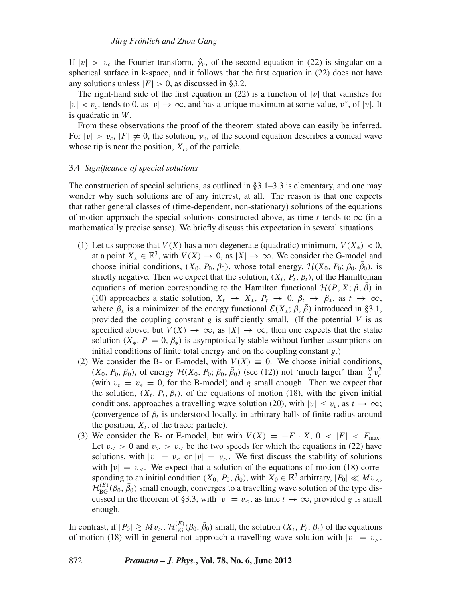If  $|v| > v_c$  the Fourier transform,  $\hat{y}_v$ , of the second equation in (22) is singular on a spherical surface in k-space, and it follows that the first equation in (22) does not have any solutions unless  $|F| > 0$ , as discussed in §3.2.

The right-hand side of the first equation in (22) is a function of  $|v|$  that vanishes for  $|v| < v_c$ , tends to 0, as  $|v| \rightarrow \infty$ , and has a unique maximum at some value,  $v^*$ , of  $|v|$ . It is quadratic in *W*.

From these observations the proof of the theorem stated above can easily be inferred. For  $|v| > v_c$ ,  $|F| \neq 0$ , the solution,  $y_v$ , of the second equation describes a conical wave whose tip is near the position,  $X_t$ , of the particle.

# 3.4 *Significance of special solutions*

The construction of special solutions, as outlined in  $\S 3.1-3.3$  is elementary, and one may wonder why such solutions are of any interest, at all. The reason is that one expects that rather general classes of (time-dependent, non-stationary) solutions of the equations of motion approach the special solutions constructed above, as time *t* tends to  $\infty$  (in a mathematically precise sense). We briefly discuss this expectation in several situations.

- (1) Let us suppose that  $V(X)$  has a non-degenerate (quadratic) minimum,  $V(X_*) < 0$ , at a point  $X_* \in \mathbb{E}^3$ , with  $V(X) \to 0$ , as  $|X| \to \infty$ . We consider the G-model and choose initial conditions,  $(X_0, P_0, \beta_0)$ , whose total energy,  $\mathcal{H}(X_0, P_0; \beta_0, \bar{\beta}_0)$ , is strictly negative. Then we expect that the solution,  $(X_t, P_t, \beta_t)$ , of the Hamiltonian equations of motion corresponding to the Hamilton functional  $\mathcal{H}(P, X; \beta, \overline{\beta})$  in (10) approaches a static solution,  $X_t \to X_*, P_t \to 0, \beta_t \to \beta_*,$  as  $t \to \infty$ , where  $\beta_*$  is a minimizer of the energy functional  $\mathcal{E}(X_*, \beta, \overline{\beta})$  introduced in §3.1, provided the coupling constant  $g$  is sufficiently small. (If the potential  $V$  is as specified above, but  $V(X) \to \infty$ , as  $|X| \to \infty$ , then one expects that the static solution  $(X_*, P = 0, \beta_*)$  is asymptotically stable without further assumptions on initial conditions of finite total energy and on the coupling constant *g*.)
- (2) We consider the B- or E-model, with  $V(X) \equiv 0$ . We choose initial conditions,  $(X_0, P_0, \beta_0)$ , of energy  $\mathcal{H}(X_0, P_0; \beta_0, \bar{\beta}_0)$  (see (12)) not 'much larger' than  $\frac{M}{2}v_c^2$ (with  $v_c = v_* = 0$ , for the B-model) and *g* small enough. Then we expect that the solution,  $(X_t, P_t, \beta_t)$ , of the equations of motion (18), with the given initial conditions, approaches a travelling wave solution (20), with  $|v| \le v_c$ , as  $t \to \infty$ ; (convergence of  $\beta_t$  is understood locally, in arbitrary balls of finite radius around the position,  $X_t$ , of the tracer particle).
- (3) We consider the B- or E-model, but with  $V(X) = -F \cdot X$ ,  $0 \lt |F| \lt F_{\text{max}}$ . Let  $v_{<}$  > 0 and  $v_{>}$   $v_{<}$  be the two speeds for which the equations in (22) have solutions, with  $|v| = v_{\leq}$  or  $|v| = v_{\leq}$ . We first discuss the stability of solutions with  $|v| = v_{\leq}$ . We expect that a solution of the equations of motion (18) corresponding to an initial condition  $(X_0, P_0, \beta_0)$ , with  $X_0 \in \mathbb{E}^3$  arbitrary,  $|P_0| \ll Mv_{\leq}$ ,  $\mathcal{H}_{BG}^{(E)}(\beta_0, \bar{\beta}_0)$  small enough, converges to a travelling wave solution of the type discussed in the theorem of §3.3, with  $|v| = v<sub>z</sub>$ , as time  $t \to \infty$ , provided g is small enough.

In contrast, if  $|P_0| \ge Mv_>, \mathcal{H}_{BG}^{(E)}(\beta_0, \bar{\beta}_0)$  small, the solution  $(X_t, P_t, \beta_t)$  of the equations of motion (18) will in general not approach a travelling wave solution with  $|v| = v_{\geq}$ .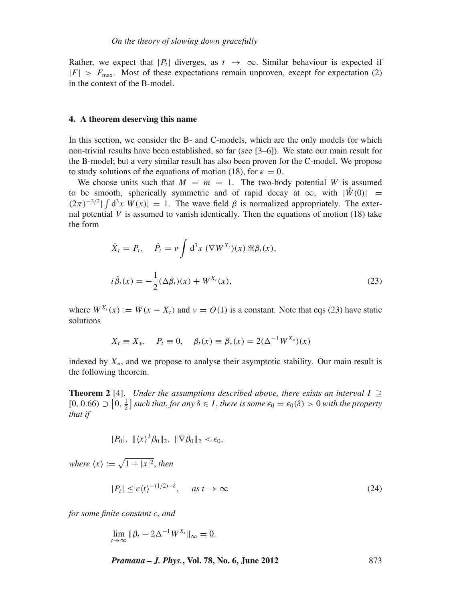Rather, we expect that  $|P_t|$  diverges, as  $t \to \infty$ . Similar behaviour is expected if  $|F| > F_{\text{max}}$ . Most of these expectations remain unproven, except for expectation (2) in the context of the B-model.

# **4. A theorem deserving this name**

In this section, we consider the B- and C-models, which are the only models for which non-trivial results have been established, so far (see [3–6]). We state our main result for the B-model; but a very similar result has also been proven for the C-model. We propose to study solutions of the equations of motion (18), for  $\kappa = 0$ .

We choose units such that  $M = m = 1$ . The two-body potential *W* is assumed to be smooth, spherically symmetric and of rapid decay at  $\infty$ , with  $|\hat{W}(0)| =$  $(2\pi)^{-3/2}$   $\int d^3x W(x) = 1$ . The wave field  $\beta$  is normalized appropriately. The external potential  $V$  is assumed to vanish identically. Then the equations of motion (18) take the form

$$
\dot{X}_t = P_t, \quad \dot{P}_t = \nu \int d^3x \, (\nabla W^{X_t})(x) \, \Re \beta_t(x),
$$
  

$$
i \dot{\beta}_t(x) = -\frac{1}{2} (\Delta \beta_t)(x) + W^{X_t}(x),
$$
 (23)

where  $W^{X_t}(x) := W(x - X_t)$  and  $v = O(1)$  is a constant. Note that eqs (23) have static solutions

$$
X_t \equiv X_*, \quad P_t \equiv 0, \quad \beta_t(x) \equiv \beta_*(x) = 2(\Delta^{-1}W^{X_*})(x)
$$

indexed by  $X_{\ast}$ , and we propose to analyse their asymptotic stability. Our main result is the following theorem.

**Theorem 2** [4]. *Under the assumptions described above, there exists an interval I*  $\supset$ [0, 0.66) ⊃  $\left[0, \frac{1}{2}\right]$  *such that, for any*  $\delta \in I$ *, there is some*  $\epsilon_0 = \epsilon_0(\delta) > 0$  *with the property that if*

$$
|P_0|, \|\langle x \rangle^3 \beta_0\|_2, \|\nabla \beta_0\|_2 < \epsilon_0,
$$

*where*  $\langle x \rangle := \sqrt{1 + |x|^2}$ , *then* 

$$
|P_t| \le c \langle t \rangle^{-(1/2) - \delta}, \quad \text{as } t \to \infty \tag{24}
$$

*for some finite constant c, and*

$$
\lim_{t\to\infty} \|\beta_t - 2\Delta^{-1}W^{X_t}\|_{\infty} = 0.
$$

*Pramana – J. Phys.***, Vol. 78, No. 6, June 2012** 873